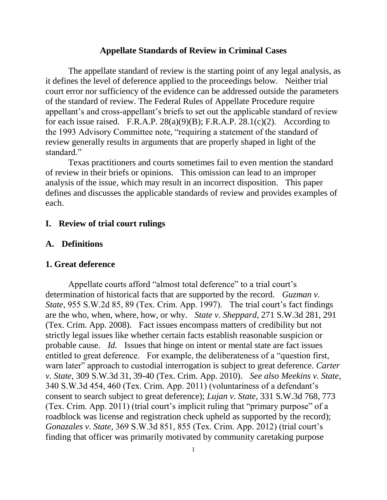#### **Appellate Standards of Review in Criminal Cases**

The appellate standard of review is the starting point of any legal analysis, as it defines the level of deference applied to the proceedings below. Neither trial court error nor sufficiency of the evidence can be addressed outside the parameters of the standard of review. The Federal Rules of Appellate Procedure require appellant's and cross-appellant's briefs to set out the applicable standard of review for each issue raised. F.R.A.P.  $28(a)(9)(B)$ ; F.R.A.P.  $28.1(c)(2)$ . According to the 1993 Advisory Committee note, "requiring a statement of the standard of review generally results in arguments that are properly shaped in light of the standard."

Texas practitioners and courts sometimes fail to even mention the standard of review in their briefs or opinions. This omission can lead to an improper analysis of the issue, which may result in an incorrect disposition. This paper defines and discusses the applicable standards of review and provides examples of each.

## **I. Review of trial court rulings**

### **A. Definitions**

#### **1. Great deference**

Appellate courts afford "almost total deference" to a trial court's determination of historical facts that are supported by the record. *Guzman v. State*, 955 S.W.2d 85, 89 (Tex. Crim. App. 1997). The trial court's fact findings are the who, when, where, how, or why. *State v. Sheppard*, 271 S.W.3d 281, 291 (Tex. Crim. App. 2008). Fact issues encompass matters of credibility but not strictly legal issues like whether certain facts establish reasonable suspicion or probable cause. *Id.* Issues that hinge on intent or mental state are fact issues entitled to great deference. For example, the deliberateness of a "question first, warn later" approach to custodial interrogation is subject to great deference. *Carter v. State*, 309 S.W.3d 31, 39-40 (Tex. Crim. App. 2010). *See also Meekins v. State*, 340 S.W.3d 454, 460 (Tex. Crim. App. 2011) (voluntariness of a defendant's consent to search subject to great deference); *Lujan v. State*, 331 S.W.3d 768, 773 (Tex. Crim. App. 2011) (trial court's implicit ruling that "primary purpose" of a roadblock was license and registration check upheld as supported by the record); *Gonazales v. State,* 369 S.W.3d 851, 855 (Tex. Crim. App. 2012) (trial court's finding that officer was primarily motivated by community caretaking purpose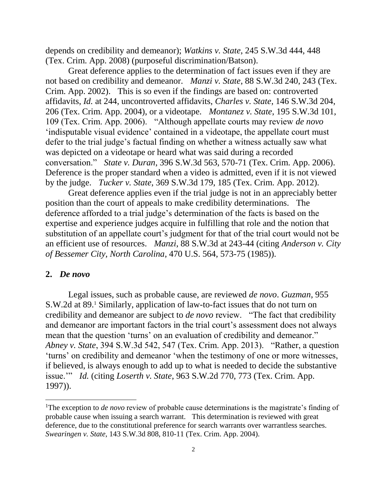depends on credibility and demeanor); *Watkins v. State*, 245 S.W.3d 444, 448 (Tex. Crim. App. 2008) (purposeful discrimination/Batson).

Great deference applies to the determination of fact issues even if they are not based on credibility and demeanor. *Manzi v. State*, 88 S.W.3d 240, 243 (Tex. Crim. App. 2002). This is so even if the findings are based on: controverted affidavits, *Id.* at 244, uncontroverted affidavits, *Charles v. State*, 146 S.W.3d 204, 206 (Tex. Crim. App. 2004), or a videotape. *Montanez v. State*, 195 S.W.3d 101, 109 (Tex. Crim. App. 2006). "Although appellate courts may review *de novo*  'indisputable visual evidence' contained in a videotape, the appellate court must defer to the trial judge's factual finding on whether a witness actually saw what was depicted on a videotape or heard what was said during a recorded conversation." *State v. Duran*, 396 S.W.3d 563, 570-71 (Tex. Crim. App. 2006). Deference is the proper standard when a video is admitted, even if it is not viewed by the judge. *Tucker v. State*, 369 S.W.3d 179, 185 (Tex. Crim. App. 2012).

Great deference applies even if the trial judge is not in an appreciably better position than the court of appeals to make credibility determinations. The deference afforded to a trial judge's determination of the facts is based on the expertise and experience judges acquire in fulfilling that role and the notion that substitution of an appellate court's judgment for that of the trial court would not be an efficient use of resources. *Manzi*, 88 S.W.3d at 243-44 (citing *Anderson v. City of Bessemer City, North Carolina*, 470 U.S. 564, 573-75 (1985)).

#### **2.** *De novo*

 $\overline{a}$ 

Legal issues, such as probable cause, are reviewed *de novo*. *Guzman*, 955 S.W.2d at 89.<sup>1</sup> Similarly, application of law-to-fact issues that do not turn on credibility and demeanor are subject to *de novo* review. "The fact that credibility and demeanor are important factors in the trial court's assessment does not always mean that the question 'turns' on an evaluation of credibility and demeanor." *Abney v. State*, 394 S.W.3d 542, 547 (Tex. Crim. App. 2013). "Rather, a question 'turns' on credibility and demeanor 'when the testimony of one or more witnesses, if believed, is always enough to add up to what is needed to decide the substantive issue.'" *Id.* (citing *Loserth v. State*, 963 S.W.2d 770, 773 (Tex. Crim. App. 1997)).

<sup>&</sup>lt;sup>1</sup>The exception to *de novo* review of probable cause determinations is the magistrate's finding of probable cause when issuing a search warrant. This determination is reviewed with great deference, due to the constitutional preference for search warrants over warrantless searches. *Swearingen v. State*, 143 S.W.3d 808, 810-11 (Tex. Crim. App. 2004).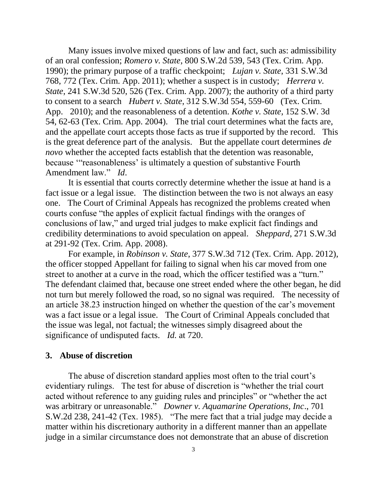Many issues involve mixed questions of law and fact, such as: admissibility of an oral confession; *Romero v. State*, 800 S.W.2d 539, 543 (Tex. Crim. App. 1990); the primary purpose of a traffic checkpoint; *Lujan v. State*, 331 S.W.3d 768, 772 (Tex. Crim. App. 2011); whether a suspect is in custody; *Herrera v. State*, 241 S.W.3d 520, 526 (Tex. Crim. App. 2007); the authority of a third party to consent to a search *Hubert v. State*, 312 S.W.3d 554, 559-60 (Tex. Crim. App. 2010); and the reasonableness of a detention. *Kothe v. State*, 152 S.W. 3d 54, 62-63 (Tex. Crim. App. 2004). The trial court determines what the facts are, and the appellate court accepts those facts as true if supported by the record. This is the great deference part of the analysis. But the appellate court determines *de novo* whether the accepted facts establish that the detention was reasonable, because '"reasonableness' is ultimately a question of substantive Fourth Amendment law." *Id*.

It is essential that courts correctly determine whether the issue at hand is a fact issue or a legal issue. The distinction between the two is not always an easy one. The Court of Criminal Appeals has recognized the problems created when courts confuse "the apples of explicit factual findings with the oranges of conclusions of law," and urged trial judges to make explicit fact findings and credibility determinations to avoid speculation on appeal. *Sheppard*, 271 S.W.3d at 291-92 (Tex. Crim. App. 2008).

For example, in *Robinson v. State*, 377 S.W.3d 712 (Tex. Crim. App. 2012), the officer stopped Appellant for failing to signal when his car moved from one street to another at a curve in the road, which the officer testified was a "turn." The defendant claimed that, because one street ended where the other began, he did not turn but merely followed the road, so no signal was required. The necessity of an article 38.23 instruction hinged on whether the question of the car's movement was a fact issue or a legal issue. The Court of Criminal Appeals concluded that the issue was legal, not factual; the witnesses simply disagreed about the significance of undisputed facts. *Id.* at 720.

### **3. Abuse of discretion**

The abuse of discretion standard applies most often to the trial court's evidentiary rulings. The test for abuse of discretion is "whether the trial court acted without reference to any guiding rules and principles" or "whether the act was arbitrary or unreasonable." *Downer v. Aquamarine Operations, Inc*., 701 S.W.2d 238, 241-42 (Tex. 1985). "The mere fact that a trial judge may decide a matter within his discretionary authority in a different manner than an appellate judge in a similar circumstance does not demonstrate that an abuse of discretion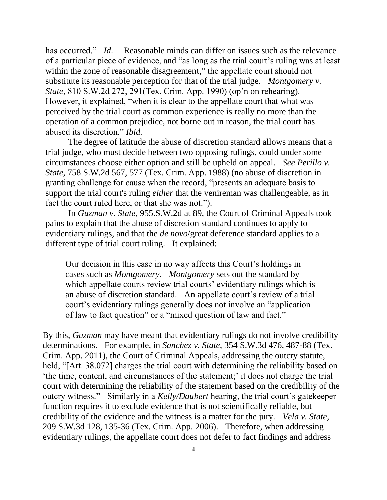has occurred." *Id.* Reasonable minds can differ on issues such as the relevance of a particular piece of evidence, and "as long as the trial court's ruling was at least within the zone of reasonable disagreement," the appellate court should not substitute its reasonable perception for that of the trial judge. *Montgomery v. State*, 810 S.W.2d 272, 291(Tex. Crim. App. 1990) (op'n on rehearing). However, it explained, "when it is clear to the appellate court that what was perceived by the trial court as common experience is really no more than the operation of a common prejudice, not borne out in reason, the trial court has abused its discretion." *Ibid.*

The degree of latitude the abuse of discretion standard allows means that a trial judge, who must decide between two opposing rulings, could under some circumstances choose either option and still be upheld on appeal. *See Perillo v. State*, 758 S.W.2d 567, 577 (Tex. Crim. App. 1988) (no abuse of discretion in granting challenge for cause when the record, "presents an adequate basis to support the trial court's ruling *either* that the venireman was challengeable, as in fact the court ruled here, or that she was not.").

In *Guzman v. State*, 955.S.W.2d at 89, the Court of Criminal Appeals took pains to explain that the abuse of discretion standard continues to apply to evidentiary rulings, and that the *de novo*/great deference standard applies to a different type of trial court ruling. It explained:

Our decision in this case in no way affects this Court's holdings in cases such as *Montgomery. Montgomery* sets out the standard by which appellate courts review trial courts' evidentiary rulings which is an abuse of discretion standard. An appellate court's review of a trial court's evidentiary rulings generally does not involve an "application of law to fact question" or a "mixed question of law and fact."

By this, *Guzman* may have meant that evidentiary rulings do not involve credibility determinations. For example, in *Sanchez v. State*, 354 S.W.3d 476, 487-88 (Tex. Crim. App. 2011), the Court of Criminal Appeals, addressing the outcry statute, held, "[Art. 38.072] charges the trial court with determining the reliability based on 'the time, content, and circumstances of the statement;' it does not charge the trial court with determining the reliability of the statement based on the credibility of the outcry witness." Similarly in a *Kelly/Daubert* hearing, the trial court's gatekeeper function requires it to exclude evidence that is not scientifically reliable, but credibility of the evidence and the witness is a matter for the jury. *Vela v. State*, 209 S.W.3d 128, 135-36 (Tex. Crim. App. 2006). Therefore, when addressing evidentiary rulings, the appellate court does not defer to fact findings and address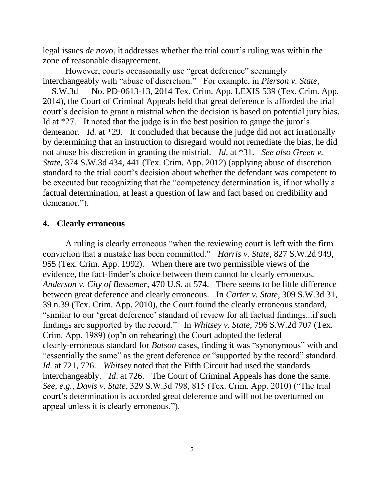legal issues *de novo*, it addresses whether the trial court's ruling was within the zone of reasonable disagreement.

However, courts occasionally use "great deference" seemingly interchangeably with "abuse of discretion." For example, in *Pierson v. State*, \_\_S.W.3d \_\_ No. PD-0613-13, 2014 Tex. Crim. App. LEXIS 539 (Tex. Crim. App. 2014), the Court of Criminal Appeals held that great deference is afforded the trial court's decision to grant a mistrial when the decision is based on potential jury bias. Id at \*27. It noted that the judge is in the best position to gauge the juror's demeanor. *Id.* at \*29. It concluded that because the judge did not act irrationally by determining that an instruction to disregard would not remediate the bias, he did not abuse his discretion in granting the mistrial. *Id*. at \*31. *See also Green v. State*, 374 S.W.3d 434, 441 (Tex. Crim. App. 2012) (applying abuse of discretion standard to the trial court's decision about whether the defendant was competent to be executed but recognizing that the "competency determination is, if not wholly a factual determination, at least a question of law and fact based on credibility and demeanor.").

# **4. Clearly erroneous**

A ruling is clearly erroneous "when the reviewing court is left with the firm conviction that a mistake has been committed." *Harris v. State*, 827 S.W.2d 949, 955 (Tex. Crim. App. 1992). When there are two permissible views of the evidence, the fact-finder's choice between them cannot be clearly erroneous. *Anderson v. City of Bessemer*, 470 U.S. at 574. There seems to be little difference between great deference and clearly erroneous. In *Carter v. State*, 309 S.W.3d 31, 39 n.39 (Tex. Crim. App. 2010), the Court found the clearly erroneous standard, "similar to our 'great deference' standard of review for all factual findings...if such findings are supported by the record." In *Whitsey v. State*, 796 S.W.2d 707 (Tex. Crim. App. 1989) (op'n on rehearing) the Court adopted the federal clearly-erroneous standard for *Batson* cases, finding it was "synonymous" with and "essentially the same" as the great deference or "supported by the record" standard. *Id.* at 721, 726. *Whitsey* noted that the Fifth Circuit had used the standards interchangeably. *Id*. at 726. The Court of Criminal Appeals has done the same. *See, e.g.*, *Davis v. State*, 329 S.W.3d 798, 815 (Tex. Crim. App. 2010) ("The trial court's determination is accorded great deference and will not be overturned on appeal unless it is clearly erroneous.").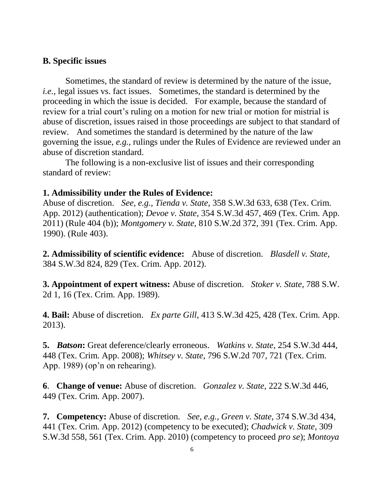### **B. Specific issues**

Sometimes, the standard of review is determined by the nature of the issue, *i.e.*, legal issues vs. fact issues. Sometimes, the standard is determined by the proceeding in which the issue is decided. For example, because the standard of review for a trial court's ruling on a motion for new trial or motion for mistrial is abuse of discretion, issues raised in those proceedings are subject to that standard of review.And sometimes the standard is determined by the nature of the law governing the issue, *e.g.,* rulings under the Rules of Evidence are reviewed under an abuse of discretion standard.

The following is a non-exclusive list of issues and their corresponding standard of review:

### **1. Admissibility under the Rules of Evidence:**

Abuse of discretion. *See, e.g., Tienda v. State,* 358 S.W.3d 633, 638 (Tex. Crim. App. 2012) (authentication); *Devoe v. State,* 354 S.W.3d 457, 469 (Tex. Crim. App. 2011) (Rule 404 (b)); *Montgomery v. State,* 810 S.W.2d 372, 391 (Tex. Crim. App. 1990). (Rule 403).

**2. Admissibility of scientific evidence:**Abuse of discretion. *Blasdell v. State,* 384 S.W.3d 824, 829 (Tex. Crim. App. 2012).

**3. Appointment of expert witness:** Abuse of discretion. *Stoker v. State*, 788 S.W. 2d 1, 16 (Tex. Crim. App. 1989).

**4. Bail:** Abuse of discretion. *Ex parte Gill*, 413 S.W.3d 425, 428 (Tex. Crim. App. 2013).

**5.** *Batson***:** Great deference/clearly erroneous. *Watkins v. State*, 254 S.W.3d 444, 448 (Tex. Crim. App. 2008); *Whitsey v. State*, 796 S.W.2d 707, 721 (Tex. Crim. App. 1989) (op'n on rehearing).

**6**. **Change of venue:** Abuse of discretion. *Gonzalez v. State,* 222 S.W.3d 446, 449 (Tex. Crim. App. 2007).

**7. Competency:** Abuse of discretion. *See, e.g., Green v. State*, 374 S.W.3d 434, 441 (Tex. Crim. App. 2012) (competency to be executed); *Chadwick v. State*, 309 S.W.3d 558, 561 (Tex. Crim. App. 2010) (competency to proceed *pro se*); *Montoya*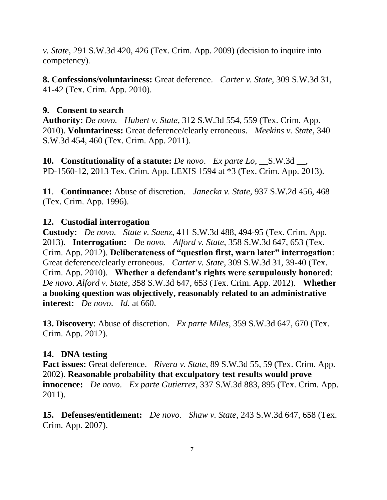*v. State*, 291 S.W.3d 420, 426 (Tex. Crim. App. 2009) (decision to inquire into competency).

**8. Confessions/voluntariness:** Great deference. *Carter v. State*, 309 S.W.3d 31, 41-42 (Tex. Crim. App. 2010).

# **9. Consent to search**

**Authority:** *De novo. Hubert v. State*, 312 S.W.3d 554, 559 (Tex. Crim. App. 2010). **Voluntariness:** Great deference/clearly erroneous. *Meekins v. State*, 340 S.W.3d 454, 460 (Tex. Crim. App. 2011).

**10. Constitutionality of a statute:** *De novo*. *Ex parte Lo*, \_\_S.W.3d \_\_, PD-1560-12, 2013 Tex. Crim. App. LEXIS 1594 at \*3 (Tex. Crim. App. 2013).

**11**. **Continuance:** Abuse of discretion. *Janecka v. State*, 937 S.W.2d 456, 468 (Tex. Crim. App. 1996).

# **12. Custodial interrogation**

**Custody:** *De novo. State v. Saenz*, 411 S.W.3d 488, 494-95 (Tex. Crim. App. 2013). **Interrogation:** *De novo. Alford v. State*, 358 S.W.3d 647, 653 (Tex. Crim. App. 2012). **Deliberateness of "question first, warn later" interrogation**: Great deference/clearly erroneous. *Carter v. State*, 309 S.W.3d 31, 39-40 (Tex. Crim. App. 2010). **Whether a defendant's rights were scrupulously honored**: *De novo. Alford v. State*, 358 S.W.3d 647, 653 (Tex. Crim. App. 2012). **Whether a booking question was objectively, reasonably related to an administrative interest:** *De novo*. *Id.* at 660.

**13. Discovery**: Abuse of discretion. *Ex parte Miles*, 359 S.W.3d 647, 670 (Tex. Crim. App. 2012).

# **14. DNA testing**

**Fact issues:** Great deference. *Rivera v. State*, 89 S.W.3d 55, 59 (Tex. Crim. App. 2002). **Reasonable probability that exculpatory test results would prove innocence:** *De novo*. *Ex parte Gutierrez*, 337 S.W.3d 883, 895 (Tex. Crim. App. 2011).

**15. Defenses/entitlement:** *De novo. Shaw v. State*, 243 S.W.3d 647, 658 (Tex. Crim. App. 2007).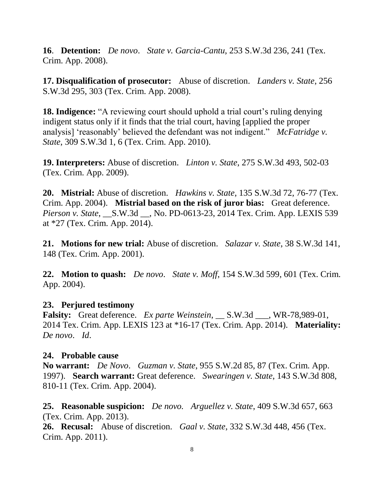**16**. **Detention:** *De novo*. *State v. Garcia-Cantu*, 253 S.W.3d 236, 241 (Tex. Crim. App. 2008).

**17. Disqualification of prosecutor:** Abuse of discretion. *Landers v. State*, 256 S.W.3d 295, 303 (Tex. Crim. App. 2008).

**18. Indigence:** "A reviewing court should uphold a trial court's ruling denying indigent status only if it finds that the trial court, having [applied the proper analysis] 'reasonably' believed the defendant was not indigent." *McFatridge v. State*, 309 S.W.3d 1, 6 (Tex. Crim. App. 2010).

**19. Interpreters:** Abuse of discretion. *Linton v. State*, 275 S.W.3d 493, 502-03 (Tex. Crim. App. 2009).

**20. Mistrial:** Abuse of discretion. *Hawkins v. State*, 135 S.W.3d 72, 76-77 (Tex. Crim. App. 2004). **Mistrial based on the risk of juror bias:** Great deference. *Pierson v. State*, \_\_S.W.3d \_\_, No. PD-0613-23, 2014 Tex. Crim. App. LEXIS 539 at \*27 (Tex. Crim. App. 2014).

**21. Motions for new trial:** Abuse of discretion. *Salazar v. State*, 38 S.W.3d 141, 148 (Tex. Crim. App. 2001).

**22. Motion to quash:** *De novo*. *State v. Moff*, 154 S.W.3d 599, 601 (Tex. Crim. App. 2004).

## **23. Perjured testimony**

**Falsity:** Great deference. *Ex parte Weinstein*, \_\_ S.W.3d \_\_\_, WR-78,989-01, 2014 Tex. Crim. App. LEXIS 123 at \*16-17 (Tex. Crim. App. 2014). **Materiality:**  *De novo*. *Id*.

## **24. Probable cause**

**No warrant:** *De Novo*. *Guzman v. State*, 955 S.W.2d 85, 87 (Tex. Crim. App. 1997). **Search warrant:** Great deference. *Swearingen v. State*, 143 S.W.3d 808, 810-11 (Tex. Crim. App. 2004).

**25. Reasonable suspicion:** *De novo. Arguellez v. State*, 409 S.W.3d 657, 663 (Tex. Crim. App. 2013).

**26. Recusal:** Abuse of discretion. *Gaal v. State*, 332 S.W.3d 448, 456 (Tex. Crim. App. 2011).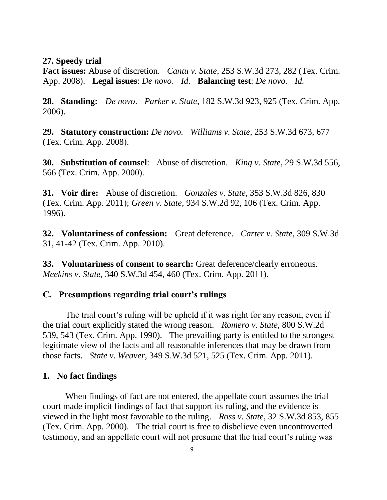#### **27. Speedy trial**

**Fact issues:** Abuse of discretion. *Cantu v. State*, 253 S.W.3d 273, 282 (Tex. Crim. App. 2008). **Legal issues**: *De novo*. *Id*. **Balancing test**: *De novo. Id.*

**28. Standing:** *De novo*. *Parker v. State*, 182 S.W.3d 923, 925 (Tex. Crim. App. 2006).

**29. Statutory construction:** *De novo. Williams v. State*, 253 S.W.3d 673, 677 (Tex. Crim. App. 2008).

**30. Substitution of counsel**: Abuse of discretion. *King v. State*, 29 S.W.3d 556, 566 (Tex. Crim. App. 2000).

**31. Voir dire:** Abuse of discretion. *Gonzales v. State*, 353 S.W.3d 826, 830 (Tex. Crim. App. 2011); *Green v. State*, 934 S.W.2d 92, 106 (Tex. Crim. App. 1996).

**32. Voluntariness of confession:** Great deference. *Carter v. State*, 309 S.W.3d 31, 41-42 (Tex. Crim. App. 2010).

**33. Voluntariness of consent to search:** Great deference/clearly erroneous. *Meekins v. State*, 340 S.W.3d 454, 460 (Tex. Crim. App. 2011).

### **C. Presumptions regarding trial court's rulings**

The trial court's ruling will be upheld if it was right for any reason, even if the trial court explicitly stated the wrong reason. *Romero v. State*, 800 S.W.2d 539, 543 (Tex. Crim. App. 1990). The prevailing party is entitled to the strongest legitimate view of the facts and all reasonable inferences that may be drawn from those facts. *State v. Weaver*, 349 S.W.3d 521, 525 (Tex. Crim. App. 2011).

### **1. No fact findings**

When findings of fact are not entered, the appellate court assumes the trial court made implicit findings of fact that support its ruling, and the evidence is viewed in the light most favorable to the ruling. *Ross v. State*, 32 S.W.3d 853, 855 (Tex. Crim. App. 2000). The trial court is free to disbelieve even uncontroverted testimony, and an appellate court will not presume that the trial court's ruling was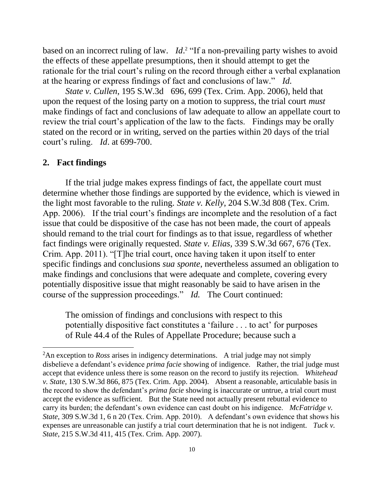based on an incorrect ruling of law. *Id*.<sup>2</sup> "If a non-prevailing party wishes to avoid the effects of these appellate presumptions, then it should attempt to get the rationale for the trial court's ruling on the record through either a verbal explanation at the hearing or express findings of fact and conclusions of law." *Id.*

*State v. Cullen*, 195 S.W.3d 696, 699 (Tex. Crim. App. 2006), held that upon the request of the losing party on a motion to suppress, the trial court *must* make findings of fact and conclusions of law adequate to allow an appellate court to review the trial court's application of the law to the facts. Findings may be orally stated on the record or in writing, served on the parties within 20 days of the trial court's ruling. *Id*. at 699-700.

#### **2. Fact findings**

 $\overline{a}$ 

If the trial judge makes express findings of fact, the appellate court must determine whether those findings are supported by the evidence, which is viewed in the light most favorable to the ruling. *State v. Kelly*, 204 S.W.3d 808 (Tex. Crim. App. 2006). If the trial court's findings are incomplete and the resolution of a fact issue that could be dispositive of the case has not been made, the court of appeals should remand to the trial court for findings as to that issue, regardless of whether fact findings were originally requested. *State v. Elias,* 339 S.W.3d 667, 676 (Tex. Crim. App. 2011). "[T]he trial court, once having taken it upon itself to enter specific findings and conclusions *sua sponte*, nevertheless assumed an obligation to make findings and conclusions that were adequate and complete, covering every potentially dispositive issue that might reasonably be said to have arisen in the course of the suppression proceedings." *Id.* The Court continued:

The omission of findings and conclusions with respect to this potentially dispositive fact constitutes a 'failure . . . to act' for purposes of Rule 44.4 of the Rules of Appellate Procedure; because such a

<sup>&</sup>lt;sup>2</sup>An exception to *Ross* arises in indigency determinations. A trial judge may not simply disbelieve a defendant's evidence *prima facie* showing of indigence. Rather, the trial judge must accept that evidence unless there is some reason on the record to justify its rejection. *Whitehead v. State*, 130 S.W.3d 866, 875 (Tex. Crim. App. 2004). Absent a reasonable, articulable basis in the record to show the defendant's *prima facie* showing is inaccurate or untrue, a trial court must accept the evidence as sufficient. But the State need not actually present rebuttal evidence to carry its burden; the defendant's own evidence can cast doubt on his indigence. *McFatridge v. State*, 309 S.W.3d 1, 6 n 20 (Tex. Crim. App. 2010). A defendant's own evidence that shows his expenses are unreasonable can justify a trial court determination that he is not indigent. *Tuck v. State*, 215 S.W.3d 411, 415 (Tex. Crim. App. 2007).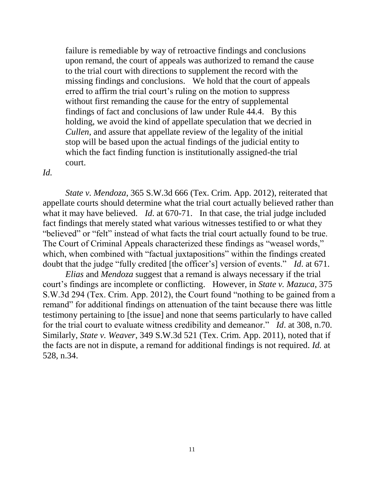failure is remediable by way of retroactive findings and conclusions upon remand, the court of appeals was authorized to remand the cause to the trial court with directions to supplement the record with the missing findings and conclusions. We hold that the court of appeals erred to affirm the trial court's ruling on the motion to suppress without first remanding the cause for the entry of supplemental findings of fact and conclusions of law under Rule 44.4. By this holding, we avoid the kind of appellate speculation that we decried in *Cullen*, and assure that appellate review of the legality of the initial stop will be based upon the actual findings of the judicial entity to which the fact finding function is institutionally assigned-the trial court.

#### *Id.*

*State v. Mendoza*, 365 S.W.3d 666 (Tex. Crim. App. 2012), reiterated that appellate courts should determine what the trial court actually believed rather than what it may have believed. *Id*. at 670-71. In that case, the trial judge included fact findings that merely stated what various witnesses testified to or what they "believed" or "felt" instead of what facts the trial court actually found to be true. The Court of Criminal Appeals characterized these findings as "weasel words," which, when combined with "factual juxtapositions" within the findings created doubt that the judge "fully credited [the officer's] version of events." *Id*. at 671.

*Elias* and *Mendoza* suggest that a remand is always necessary if the trial court's findings are incomplete or conflicting. However, in *State v. Mazuca*, 375 S.W.3d 294 (Tex. Crim. App. 2012), the Court found "nothing to be gained from a remand" for additional findings on attenuation of the taint because there was little testimony pertaining to [the issue] and none that seems particularly to have called for the trial court to evaluate witness credibility and demeanor." *Id*. at 308, n.70. Similarly, *State v. Weaver*, 349 S.W.3d 521 (Tex. Crim. App. 2011), noted that if the facts are not in dispute, a remand for additional findings is not required. *Id.* at 528, n.34.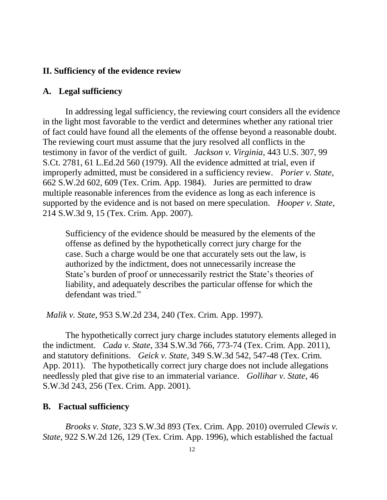# **II. Sufficiency of the evidence review**

## **A. Legal sufficiency**

In addressing legal sufficiency, the reviewing court considers all the evidence in the light most favorable to the verdict and determines whether any rational trier of fact could have found all the elements of the offense beyond a reasonable doubt. The reviewing court must assume that the jury resolved all conflicts in the testimony in favor of the verdict of guilt. *Jackson v. Virginia*, 443 U.S. 307, 99 S.Ct. 2781, 61 L.Ed.2d 560 (1979). All the evidence admitted at trial, even if improperly admitted, must be considered in a sufficiency review. *Porier v. State*, 662 S.W.2d 602, 609 (Tex. Crim. App. 1984). Juries are permitted to draw multiple reasonable inferences from the evidence as long as each inference is supported by the evidence and is not based on mere speculation. *Hooper v. State*, 214 S.W.3d 9, 15 (Tex. Crim. App. 2007).

Sufficiency of the evidence should be measured by the elements of the offense as defined by the hypothetically correct jury charge for the case. Such a charge would be one that accurately sets out the law, is authorized by the indictment, does not unnecessarily increase the State's burden of proof or unnecessarily restrict the State's theories of liability, and adequately describes the particular offense for which the defendant was tried."

*Malik v. State*, 953 S.W.2d 234, 240 (Tex. Crim. App. 1997).

The hypothetically correct jury charge includes statutory elements alleged in the indictment. *Cada v. State*, 334 S.W.3d 766, 773-74 (Tex. Crim. App. 2011), and statutory definitions. *Geick v. State,* 349 S.W.3d 542, 547-48 (Tex. Crim. App. 2011). The hypothetically correct jury charge does not include allegations needlessly pled that give rise to an immaterial variance. *Gollihar v. State*, 46 S.W.3d 243, 256 (Tex. Crim. App. 2001).

#### **B. Factual sufficiency**

*Brooks v. State*, 323 S.W.3d 893 (Tex. Crim. App. 2010) overruled *Clewis v. State*, 922 S.W.2d 126, 129 (Tex. Crim. App. 1996), which established the factual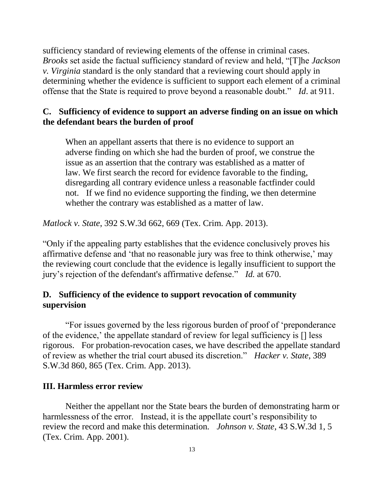sufficiency standard of reviewing elements of the offense in criminal cases. *Brooks* set aside the factual sufficiency standard of review and held, "[T]he *Jackson v. Virginia* standard is the only standard that a reviewing court should apply in determining whether the evidence is sufficient to support each element of a criminal offense that the State is required to prove beyond a reasonable doubt." *Id*. at 911.

# **C. Sufficiency of evidence to support an adverse finding on an issue on which the defendant bears the burden of proof**

When an appellant asserts that there is no evidence to support an adverse finding on which she had the burden of proof, we construe the issue as an assertion that the contrary was established as a matter of law. We first search the record for evidence favorable to the finding, disregarding all contrary evidence unless a reasonable factfinder could not. If we find no evidence supporting the finding, we then determine whether the contrary was established as a matter of law.

*Matlock v. State*, 392 S.W.3d 662, 669 (Tex. Crim. App. 2013).

"Only if the appealing party establishes that the evidence conclusively proves his affirmative defense and 'that no reasonable jury was free to think otherwise,' may the reviewing court conclude that the evidence is legally insufficient to support the jury's rejection of the defendant's affirmative defense." *Id.* at 670.

## **D. Sufficiency of the evidence to support revocation of community supervision**

"For issues governed by the less rigorous burden of proof of 'preponderance of the evidence,' the appellate standard of review for legal sufficiency is [] less rigorous. For probation-revocation cases, we have described the appellate standard of review as whether the trial court abused its discretion." *Hacker v. State*, 389 S.W.3d 860, 865 (Tex. Crim. App. 2013).

## **III. Harmless error review**

Neither the appellant nor the State bears the burden of demonstrating harm or harmlessness of the error. Instead, it is the appellate court's responsibility to review the record and make this determination*. Johnson v. State*, 43 S.W.3d 1, 5 (Tex. Crim. App. 2001).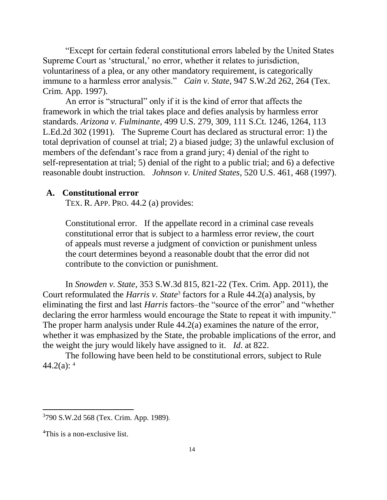"Except for certain federal constitutional errors labeled by the United States Supreme Court as 'structural,' no error, whether it relates to jurisdiction, voluntariness of a plea, or any other mandatory requirement, is categorically immune to a harmless error analysis." *Cain v. State*, 947 S.W.2d 262, 264 (Tex. Crim. App. 1997).

An error is "structural" only if it is the kind of error that affects the framework in which the trial takes place and defies analysis by harmless error standards. *Arizona v. Fulminante*, 499 U.S. 279, 309, 111 S.Ct. 1246, 1264, 113 L.Ed.2d 302 (1991). The Supreme Court has declared as structural error: 1) the total deprivation of counsel at trial; 2) a biased judge; 3) the unlawful exclusion of members of the defendant's race from a grand jury; 4) denial of the right to self-representation at trial; 5) denial of the right to a public trial; and 6) a defective reasonable doubt instruction. *Johnson v. United States*, 520 U.S. 461, 468 (1997).

### **A. Constitutional error**

TEX. R. APP. PRO. 44.2 (a) provides:

Constitutional error. If the appellate record in a criminal case reveals constitutional error that is subject to a harmless error review, the court of appeals must reverse a judgment of conviction or punishment unless the court determines beyond a reasonable doubt that the error did not contribute to the conviction or punishment.

In *Snowden v. State*, 353 S.W.3d 815, 821-22 (Tex. Crim. App. 2011), the Court reformulated the *Harris v. State*<sup>3</sup> factors for a Rule 44.2(a) analysis, by eliminating the first and last *Harris* factors–the "source of the error" and "whether declaring the error harmless would encourage the State to repeat it with impunity." The proper harm analysis under Rule 44.2(a) examines the nature of the error, whether it was emphasized by the State, the probable implications of the error, and the weight the jury would likely have assigned to it. *Id*. at 822.

The following have been held to be constitutional errors, subject to Rule  $44.2(a):$ <sup>4</sup>

 $\overline{a}$ 

<sup>3</sup> 790 S.W.2d 568 (Tex. Crim. App. 1989).

<sup>&</sup>lt;sup>4</sup>This is a non-exclusive list.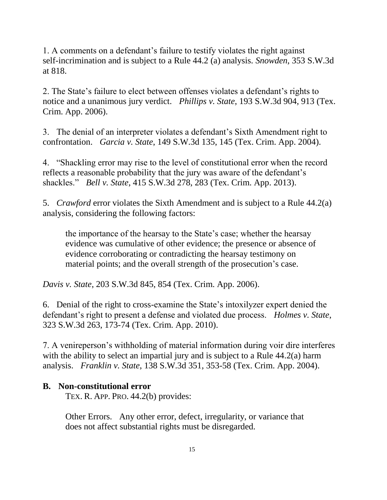1. A comments on a defendant's failure to testify violates the right against self-incrimination and is subject to a Rule 44.2 (a) analysis. *Snowden*, 353 S.W.3d at 818.

2. The State's failure to elect between offenses violates a defendant's rights to notice and a unanimous jury verdict. *Phillips v. State*, 193 S.W.3d 904, 913 (Tex. Crim. App. 2006).

3. The denial of an interpreter violates a defendant's Sixth Amendment right to confrontation. *Garcia v. State*, 149 S.W.3d 135, 145 (Tex. Crim. App. 2004).

4. "Shackling error may rise to the level of constitutional error when the record reflects a reasonable probability that the jury was aware of the defendant's shackles." *Bell v. State*, 415 S.W.3d 278, 283 (Tex. Crim. App. 2013).

5. *Crawford* error violates the Sixth Amendment and is subject to a Rule 44.2(a) analysis, considering the following factors:

the importance of the hearsay to the State's case; whether the hearsay evidence was cumulative of other evidence; the presence or absence of evidence corroborating or contradicting the hearsay testimony on material points; and the overall strength of the prosecution's case.

*Davis v. State*, 203 S.W.3d 845, 854 (Tex. Crim. App. 2006).

6. Denial of the right to cross-examine the State's intoxilyzer expert denied the defendant's right to present a defense and violated due process. *Holmes v. State*, 323 S.W.3d 263, 173-74 (Tex. Crim. App. 2010).

7. A venireperson's withholding of material information during voir dire interferes with the ability to select an impartial jury and is subject to a Rule 44.2(a) harm analysis. *Franklin v. State*, 138 S.W.3d 351, 353-58 (Tex. Crim. App. 2004).

## **B. Non-constitutional error**

TEX. R. APP. PRO. 44.2(b) provides:

Other Errors. Any other error, defect, irregularity, or variance that does not affect substantial rights must be disregarded.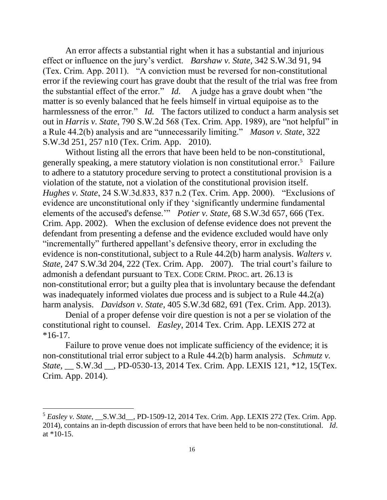An error affects a substantial right when it has a substantial and injurious effect or influence on the jury's verdict. *Barshaw v. State*, 342 S.W.3d 91, 94 (Tex. Crim. App. 2011). "A conviction must be reversed for non-constitutional error if the reviewing court has grave doubt that the result of the trial was free from the substantial effect of the error." *Id.* A judge has a grave doubt when "the matter is so evenly balanced that he feels himself in virtual equipoise as to the harmlessness of the error." *Id.* The factors utilized to conduct a harm analysis set out in *Harris v. State*, 790 S.W.2d 568 (Tex. Crim. App. 1989), are "not helpful" in a Rule 44.2(b) analysis and are "unnecessarily limiting." *Mason v. State*, 322 S.W.3d 251, 257 n10 (Tex. Crim. App. 2010).

Without listing all the errors that have been held to be non-constitutional, generally speaking, a mere statutory violation is non constitutional error.<sup>5</sup> Failure to adhere to a statutory procedure serving to protect a constitutional provision is a violation of the statute, not a violation of the constitutional provision itself. *Hughes v. State*, 24 S.W.3d.833, 837 n.2 (Tex. Crim. App. 2000). "Exclusions of evidence are unconstitutional only if they 'significantly undermine fundamental elements of the accused's defense.'" *Potier v. State*, 68 S.W.3d 657, 666 (Tex. Crim. App. 2002). When the exclusion of defense evidence does not prevent the defendant from presenting a defense and the evidence excluded would have only "incrementally" furthered appellant's defensive theory, error in excluding the evidence is non-constitutional, subject to a Rule 44.2(b) harm analysis. *Walters v. State*, 247 S.W.3d 204, 222 (Tex. Crim. App. 2007).The trial court's failure to admonish a defendant pursuant to TEX. CODE CRIM. PROC. art. 26.13 is non-constitutional error; but a guilty plea that is involuntary because the defendant was inadequately informed violates due process and is subject to a Rule 44.2(a) harm analysis. *Davidson v. State*, 405 S.W.3d 682, 691 (Tex. Crim. App. 2013).

Denial of a proper defense voir dire question is not a per se violation of the constitutional right to counsel. *Easley*, 2014 Tex. Crim. App. LEXIS 272 at  $*16-17.$ 

Failure to prove venue does not implicate sufficiency of the evidence; it is non-constitutional trial error subject to a Rule 44.2(b) harm analysis. *Schmutz v. State,* \_\_ S.W.3d \_\_, PD-0530-13, 2014 Tex. Crim. App. LEXIS 121, \*12, 15(Tex. Crim. App. 2014).

 $\overline{a}$ 

<sup>5</sup> *Easley v. State*, \_\_S.W.3d\_\_, PD-1509-12, 2014 Tex. Crim. App. LEXIS 272 (Tex. Crim. App. 2014), contains an in-depth discussion of errors that have been held to be non-constitutional. *Id*. at \*10-15.